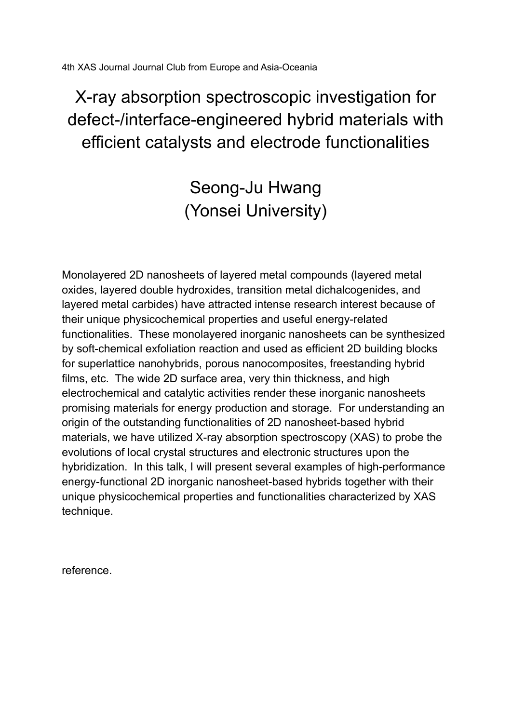4th XAS Journal Journal Club from Europe and Asia-Oceania

X-ray absorption spectroscopic investigation for defect-/interface-engineered hybrid materials with efficient catalysts and electrode functionalities

> Seong-Ju Hwang (Yonsei University)

Monolayered 2D nanosheets of layered metal compounds (layered metal oxides, layered double hydroxides, transition metal dichalcogenides, and layered metal carbides) have attracted intense research interest because of their unique physicochemical properties and useful energy-related functionalities. These monolayered inorganic nanosheets can be synthesized by soft-chemical exfoliation reaction and used as efficient 2D building blocks for superlattice nanohybrids, porous nanocomposites, freestanding hybrid films, etc. The wide 2D surface area, very thin thickness, and high electrochemical and catalytic activities render these inorganic nanosheets promising materials for energy production and storage. For understanding an origin of the outstanding functionalities of 2D nanosheet-based hybrid materials, we have utilized X-ray absorption spectroscopy (XAS) to probe the evolutions of local crystal structures and electronic structures upon the hybridization. In this talk, I will present several examples of high-performance energy-functional 2D inorganic nanosheet-based hybrids together with their unique physicochemical properties and functionalities characterized by XAS technique.

reference.